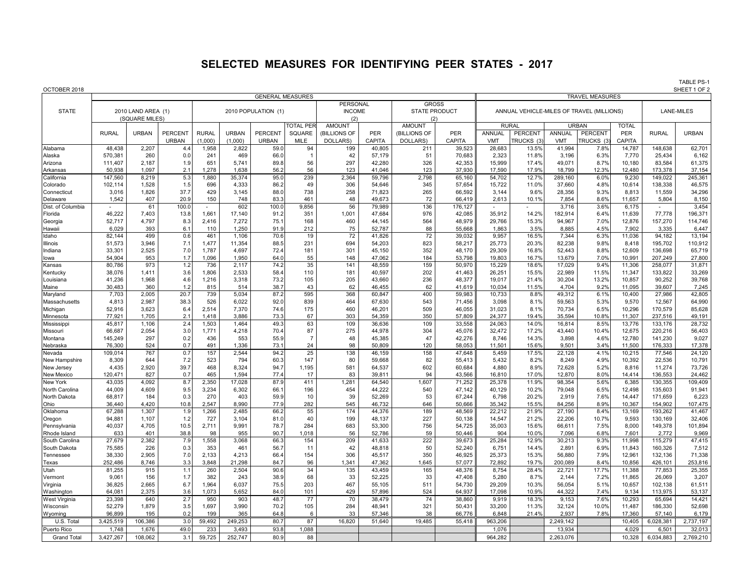## **SELECTED MEASURES FOR IDENTIFYING PEER STATES - 2017**

TABLE PS-1<br>SHEET 1 OF 2

| OCTOBER 2018              |                                                      |                  |              |                |                         |                     |                  |                          |                  |                |                  |                  |                                           |                        |               |                  | SHEET 1 OF 2       |                  |  |  |  |
|---------------------------|------------------------------------------------------|------------------|--------------|----------------|-------------------------|---------------------|------------------|--------------------------|------------------|----------------|------------------|------------------|-------------------------------------------|------------------------|---------------|------------------|--------------------|------------------|--|--|--|
|                           |                                                      |                  |              |                | <b>GENERAL MEASURES</b> |                     |                  |                          |                  |                |                  |                  |                                           | <b>TRAVEL MEASURES</b> |               |                  |                    |                  |  |  |  |
|                           |                                                      |                  |              |                |                         |                     |                  | PERSONAL<br><b>GROSS</b> |                  |                |                  |                  |                                           |                        |               |                  |                    |                  |  |  |  |
|                           | <b>STATE</b><br>2010 LAND AREA (1)<br>(SQUARE MILES) |                  |              |                |                         | 2010 POPULATION (1) |                  | <b>INCOME</b><br>(2)     |                  | STATE PRODUCT  |                  |                  | ANNUAL VEHICLE-MILES OF TRAVEL (MILLIONS) | <b>LANE-MILES</b>      |               |                  |                    |                  |  |  |  |
|                           |                                                      |                  |              |                |                         |                     |                  |                          |                  | (2)            |                  |                  |                                           |                        |               |                  |                    |                  |  |  |  |
|                           |                                                      |                  |              |                |                         |                     | <b>TOTAL PER</b> | <b>AMOUNT</b>            |                  | <b>AMOUNT</b>  |                  |                  | <b>RURAL</b>                              |                        | <b>URBAN</b>  | <b>TOTAL</b>     |                    |                  |  |  |  |
|                           | <b>RURAL</b>                                         | <b>URBAN</b>     | PERCENT      | <b>RURAL</b>   | <b>URBAN</b>            | PERCENT             | SQUARE           | <b>BILLIONS OF</b>       | <b>PER</b>       | (BILLIONS OF   | <b>PER</b>       | <b>ANNUAL</b>    | <b>PERCENT</b>                            | <b>ANNUAL</b>          | PERCENT       | PER              | <b>RURAL</b>       | <b>URBAN</b>     |  |  |  |
|                           |                                                      |                  | <b>URBAN</b> | (1,000)        | (1.000)                 | <b>URBAN</b>        | MILE             | DOLLARS)                 | <b>CAPITA</b>    | <b>DOLLARS</b> | CAPITA           | <b>VMT</b>       | <b>TRUCKS (3</b>                          | <b>VMT</b>             | TRUCKS (3     | CAPITA           |                    |                  |  |  |  |
| Alabama                   | 48,438                                               | 2,207            | 4.4          | 1,958          | 2,822                   | 59.0                | 94               | 199                      | 40,805           | 211            | 39,523           | 28,683           | 13.5%                                     | 41,994                 | 7.8%          | 14,787           | 148,638            | 62,701           |  |  |  |
| Alaska                    | 570,381                                              | 260              | 0.0          | 241            | 469                     | 66.0                |                  | 42                       | 57,179           | 51             | 70,683           | 2,323            | 11.8%                                     | 3,196                  | 6.3%          | 7,770            | 25,434             | 6,162            |  |  |  |
| Arizona                   | 111,407                                              | 2,187            | 1.9          | 651            | 5,741                   | 89.8                | 56               | 297                      | 42,280           | 326            | 42,353           | 15,999           | 17.4%                                     | 49,071                 | 8.7%          | 10,180           | 83,584             | 61,375           |  |  |  |
| Arkansas                  | 50,938                                               | 1,097            | 2.1          | 1,278          | 1,638                   | 56.2                | 56               | 123                      | 41,046           | 123            | 37,930           | 17,590           | 17.9%                                     | 18,799                 | 12.3%         | 12,480           | 173,378            | 37,154           |  |  |  |
| California                | 147,560                                              | 8,219            | 5.3          | 1,880          | 35,374                  | 95.0                | 239              | 2,364                    | 59,796           | 2,798          | 65,160           | 54.702           | 12.7%                                     | 289,160                | 6.0%          | 9,230            | 149,022            | 245,361          |  |  |  |
| Colorado                  | 102,114                                              | 1,528            | 1.5          | 696            | 4,333                   | 86.2                | 49               | 306                      | 54,646           | 345            | 57,654           | 15,722           | 11.0%                                     | 37,660                 | 4.8%          | 10,614           | 138,338            | 46,575           |  |  |  |
| Connecticut               | 3,016                                                | 1,826            | 37.7         | 429            | 3,145                   | 88.0                | 738              | 258                      | 71,823           | 265            | 66,592           | 3,144            | 9.6%                                      | 28,356                 | 9.3%          | 8,813            | 11,559             | 34,296           |  |  |  |
| Delaware                  | 1,542                                                | 407              | 20.9         | 150            | 748                     | 83.3                | 461              | 48                       | 49,673           | 72             | 66,419           | 2,613            | 10.19                                     | 7,854                  | 8.6%          | 11,657           | 5,804              | 8,150            |  |  |  |
| Dist. of Columbia         | $\mathcal{L}_{\mathcal{A}}$                          | 61               | 100.0        | ÷.             | 602                     | 100.0               | 9,856            | 56                       | 79,989           | 136            | 176,127          | $\sim$           | ä,                                        | 3,716                  | 3.6%          | 6,175            | $\sim$             | 3,454            |  |  |  |
| Florida                   | 46,222                                               | 7,403            | 13.8         | 1,661          | 17,140                  | 91.2                | 351              | 1,001                    | 47,684           | 976            | 42,085           | 35,912           | 14.2%                                     | 182,914                | 6.4%          | 11,639           | 77,778             | 196,371          |  |  |  |
| Georgia                   | 52,717                                               | 4,797            | 8.3          | 2,416          | 7,272                   | 75.1                | 168              | 460                      | 44,145           | 564            | 48,979           | 29,766           | 15.3%                                     | 94,967                 | 7.0%          | 12,876           | 157,270            | 114,746          |  |  |  |
| Hawaii                    | 6,029                                                | 393              | 6.1          | 110            | 1,250                   | 91.9                | 212              | 75                       | 52,787           | 88             | 55,668           | 1,863            | 3.5%                                      | 8,885                  | 4.5%          | 7,902            | 3,335              | 6,447            |  |  |  |
| Idaho                     | 82,144                                               | 499              | 0.6          | 461            | 1,106                   | 70.6                | 19               | 72                       | 41,826           | 72             | 39,032           | 9,957            | 16.5%                                     | 7,344                  | 6.3%          | 11,036           | 94,182             | 13,194           |  |  |  |
| Illinois                  | 51,573                                               | 3,946            | 7.1          | 1,477          | 11,354                  | 88.5                | 231              | 694                      | 54,203           | 823            | 58,217           | 25,773           | 20.3%                                     | 82,238                 | 9.8%          | 8,418            | 195,702            | 110,912          |  |  |  |
| Indiana                   | 33,301<br>54,904                                     | 2,525<br>953     | 7.0<br>1.7   | 1,787<br>1,096 | 4,697<br>1,950          | 72.4                | 181<br>55        | 301<br>148               | 45,150<br>47,062 | 352<br>184     | 48,170<br>53,798 | 29,309<br>19,803 | 16.8%<br>16.7%                            | 52,443<br>13,679       | 8.8%<br>7.0%  | 12,609<br>10.991 | 136,698<br>207,249 | 65,719<br>27,800 |  |  |  |
| lowa                      |                                                      | 973              | 1.2          |                |                         | 64.0                | 35               |                          |                  | 159            |                  |                  |                                           |                        | 9.4%          |                  |                    |                  |  |  |  |
| Kansas<br>Kentucky        | 80,786                                               | 1,411            | 3.6          | 736<br>1,806   | 2,117<br>2,533          | 74.2<br>58.4        | 110              | 141<br>181               | 48,559<br>40,597 | 202            | 50,970<br>41,463 | 15,229<br>26,251 | 18.6%<br>15.5%                            | 17,029<br>22,989       | 11.5%         | 11,306<br>11,347 | 258,077<br>133,822 | 31,871<br>33,269 |  |  |  |
| Louisiana                 | 38,076<br>41,236                                     | 1,968            | 4.6          | 1,216          | 3,318                   | 73.2                | 105              | 205                      | 43,660           | 236            | 48,377           | 19.017           | 21.4%                                     | 30.204                 | 13.2%         | 10.857           | 90,252             | 39,768           |  |  |  |
| Maine                     | 30,483                                               | 360              | 1.2          | 815            | 514                     | 38.7                | 43               | 62                       | 46,455           | 62             | 41,619           | 10,034           | 11.5%                                     | 4,704                  | 9.2%          | 11,095           | 39,607             | 7,245            |  |  |  |
| Maryland                  | 7,703                                                | 2,005            | 20.7         | 739            | 5,034                   | 87.2                | 595              | 368                      | 60,847           | 400            | 59,983           | 10,733           | 8.8%                                      | 49,312                 | 6.1%          | 10,400           | 27,986             | 42,805           |  |  |  |
| Massachusetts             | 4,813                                                | 2,987            | 38.3         | 526            | 6,022                   | 92.0                | 839              | 464                      | 67,630           | 543            | 71,456           | 3,098            | 8.1%                                      | 59,563                 | 5.3%          | 9,570            | 12,567             | 64,990           |  |  |  |
| Michigan                  | 52,916                                               | 3,623            | 6.4          | 2,514          | 7,370                   | 74.6                | 175              | 460                      | 46,201           | 509            | 46,055           | 31,023           | 8.1%                                      | 70,734                 | 6.5%          | 10,296           | 170,579            | 85,628           |  |  |  |
| Minnesota                 | 77,921                                               | 1,705            | 2.1          | 1,418          | 3,886                   | 73.3                | 67               | 303                      | 54,359           | 350            | 57,809           | 24,377           | 19.4%                                     | 35,594                 | 10.8%         | 11,307           | 237,516            | 49,191           |  |  |  |
| Mississippi               | 45,817                                               | 1,106            | 2.4          | 1,503          | 1,464                   | 49.3                | 63               | 109                      | 36,636           | 109            | 33,558           | 24,063           | 14.0%                                     | 16,814                 | 8.5%          | 13,776           | 133,176            | 28,732           |  |  |  |
| Missouri                  | 66,687                                               | 2,054            | 3.0          | 1,771          | 4,218                   | 70.4                | 87               | 275                      | 44,978           | 304            | 45,076           | 32,472           | 17.2%                                     | 43,440                 | 10.4%         | 12,675           | 220,216            | 56,403           |  |  |  |
| Montana                   | 145,249                                              | 297              | 0.2          | 436            | 553                     | 55.9                | $\overline{7}$   | 48                       | 45,385           | 47             | 42,276           | 8,746            | 14.3%                                     | 3,898                  | 4.6%          | 12,780           | 141,230            | 9,027            |  |  |  |
| Nebraska                  | 76,300                                               | 524              | 0.7          | 491            | 1,336                   | 73.7                | 24               | 98                       | 50,809           | 120            | 58,053           | 11,501           | 15.6%                                     | 9.501                  | 3.4%          | 11,500           | 176,333            | 17,378           |  |  |  |
| Nevada                    | 109,014                                              | 767              | 0.7          | 157            | 2,544                   | 94.2                | 25               | 138                      | 46,159           | 158            | 47,648           | 5,459            | 17.5%                                     | 22,128                 | 4.1%          | 10,215           | 77,546             | 24,120           |  |  |  |
| New Hampshire             | 8,309                                                | 644              | 7.2          | 523            | 794                     | 60.3                | 147              | 80                       | 59,668           | 82             | 55,413           | 5,432            | 8.2%                                      | 8,249                  | 4.9%          | 10,392           | 22,536             | 10,791           |  |  |  |
| New Jersey                | 4,435                                                | 2,920            | 39.7         | 468            | 8,324                   | 94.7                | 1,195            | 581                      | 64,537           | 602            | 60,684           | 4,880            | 8.9%                                      | 72,628                 | 5.2%          | 8,816            | 11,274             | 73,726           |  |  |  |
| <b>New Mexico</b>         | 120,471                                              | 827              | 0.7          | 465            | 1,594                   | 77.4                | 17               | 83                       | 39,811           | 94             | 43,566           | 16,810           | 17.0%                                     | 12,870                 | 8.0%          | 14,414           | 136,553            | 24,462           |  |  |  |
| New York                  | 43,035                                               | 4,092            | 8.7          | 2,350          | 17,028                  | 87.9                | 411              | 1,281                    | 64,540           | 1,607          | 71,252           | 25,378           | 11.9%                                     | 98,354                 | 5.6%          | 6,385            | 130,355            | 109,409          |  |  |  |
| North Carolina            | 44,009                                               | 4,609            | 9.5          | 3,234          | 6,302                   | 66.1                | 196              | 454                      | 44,222           | 540            | 47,142           | 40,129           | 10.2%                                     | 79,048                 | 6.5%          | 12.498           | 135,603            | 91,941           |  |  |  |
| North Dakota              | 68,817                                               | 184              | 0.3          | 270            | 403                     | 59.9                | 10               | 39                       | 52,269           | 53             | 67,244           | 6,798            | 20.2%                                     | 2,919                  | 7.6%          | 14,447           | 171,659            | 6,223            |  |  |  |
| Ohio                      | 36,440                                               | 4.420            | 10.8         | 2.547          | 8.990                   | 77.9                | 282              | 545                      | 46,732           | 646            | 50,666           | 35.342           | 15.5%                                     | 84.256                 | 8.9%          | 10,367           | 154.902            | 107,475          |  |  |  |
| Oklahoma                  | 67,288                                               | 1,307            | 1.9          | ,266           | 2,485                   | 66.2                | 55               | 174                      | 44,376           | 189            | 48,569           | 22,212           | 21.9%                                     | 27,190                 | 8.4%          | 13,169           | 193,262            | 41,467           |  |  |  |
| Oregon                    | 94,881                                               | 1,107            | 1.2          | 727            | 3,104                   | 81.0                | 40               | 199                      | 48,137           | 227            | 50,138           | 14,547           | 21.2%                                     | 22,206                 | 10.7%         | 9,593            | 130,169            | 32,406           |  |  |  |
| Pennsylvania              | 40,037                                               | 4,705            | 10.5         | 2.711          | 9,991                   | 78.7                | 284              | 683                      | 53,300           | 756            | 54,725           | 35,003           | 15.6%                                     | 66,611                 | 7.5%          | 8,000            | 149,378            | 101,894          |  |  |  |
| Rhode Island              | 633                                                  | 401              | 38.8         | 98             | 955                     | 90.7                | 1.018            | 56                       | 52,786           | 59             | 50.446           | 904              | 10.0%                                     | 7.096                  | 6.8%          | 7.601            | 2.772              | 9,969            |  |  |  |
| South Carolina            | 27,679                                               | 2,382            | 7.9          | 1,558          | 3,068                   | 66.                 | 154              | 209                      | 41,633           | 222            | 39,673           | 25,284           | 12.9%                                     | 30,213                 | 9.3%          | 11,998           | 115,279            | 47,415           |  |  |  |
| South Dakota              | 75,585                                               | 226              | 0.3          | 353            | 461                     | 56.7                | 11               | 42                       | 48,818           | 50             | 52,240           | 6,751            | 14.4%                                     | 2,891                  | 6.9%          | 11,843           | 160,326            | 7,512            |  |  |  |
| Tennessee                 | 38,330                                               | 2,905            | 7.0          | 2,133          | 4,213                   | 66.4                | 154              | 306                      | 45,517           | 350            | 46,925           | 25,373           | 15.3%                                     | 56,880                 | 7.9%          | 12,961           | 132,136            | 71,338           |  |  |  |
| Texas                     | 252,486                                              | 8,746            | 3.3          | 3,848          | 21,298                  | 84.7                | 96               | 1,341                    | 47,362           | 1,645          | 57.077           | 72,892           | 19.7%                                     | 200,089                | 8.4%          | 10,856           | 426,101            | 253,816          |  |  |  |
| Utah                      | 81,255                                               | 915              | 1.1          | 260            | 2,504                   | 90.6                | 34               | 135                      | 43,459           | 165            | 48,376           | 8,754            | 28.4%                                     | 22,721                 | 17.7%         | 11,388           | 77,853             | 25,355           |  |  |  |
| Vermont                   | 9,061                                                | 156              | 1.7          | 382            | 243                     | 38.9                | 68               | 33<br>467                | 52,225           | 33             | 47,408           | 5,280            | 8.7%                                      | 2,144                  | 7.2%          | 11,865           | 26,069             | 3,207            |  |  |  |
| Virginia                  | 36,825                                               | 2,665            | 6.7          | 1,964          | 6,037                   | 75.5                | 203              |                          | 55,105           | 511            | 54,730           | 29,209           | 10.3%                                     | 56,054                 | 5.1%          | 10,657           | 102,138            | 61,511           |  |  |  |
| Washington                | 64,081<br>23,398                                     | 2,375            | 3.6<br>2.7   | 1,073<br>950   | 5,652<br>903            | 84.0<br>48.7        | 101<br>77        | 429<br>70                | 57,896<br>38,479 | 524<br>74      | 64.937<br>38,860 | 17,098           | 10.9%<br>18.3%                            | 44.322                 | 7.4%<br>7.6%  | 9.134<br>10,293  | 113,975<br>65,694  | 53,137<br>14,421 |  |  |  |
| West Virginia             |                                                      | 640              | 3.5          |                |                         |                     | 105              | 284                      |                  | 321            |                  | 9,919<br>33.200  | 11.3%                                     | 9,153                  |               |                  |                    | 52,698           |  |  |  |
| Wisconsin                 | 52,279<br>96,899                                     | 1,879<br>195     | 0.2          | 1,697<br>199   | 3,990<br>365            | 70.2                |                  | 33                       | 48,941           | 38             | 50,431<br>66,776 | 6,848            | 21.4%                                     | 32,124<br>2,937        | 10.0%<br>7.8% | 11,487<br>17,360 | 186,330<br>57,140  | 6,179            |  |  |  |
| Wyoming                   | 3,425,519                                            |                  |              | 59,492         | 249,253                 | 64.8<br>80.7        | 6<br>87          | 16,820                   | 57,346           | 19,485         | 55,418           | 963,206          |                                           | 2,249,142              |               | 10,405           | 6,028,381          | 2,737,197        |  |  |  |
| U.S. Total<br>Puerto Rico | 1,748                                                | 106,386<br>1,676 | 3.0<br>49.0  | 233            | 3,493                   | 93.8                | 1,088            |                          | 51,640           |                |                  | 1,076            |                                           | 13,934                 |               | 4,029            | 6,501              | 32,013           |  |  |  |
| <b>Grand Total</b>        | 3,427,267                                            | 108,062          | 3.1          | 59.725         | 252.747                 | 80.9                | 88               |                          |                  |                |                  | 964.282          |                                           | 2.263.076              |               | 10.328           | 6.034.883          | 2,769,210        |  |  |  |
|                           |                                                      |                  |              |                |                         |                     |                  |                          |                  |                |                  |                  |                                           |                        |               |                  |                    |                  |  |  |  |